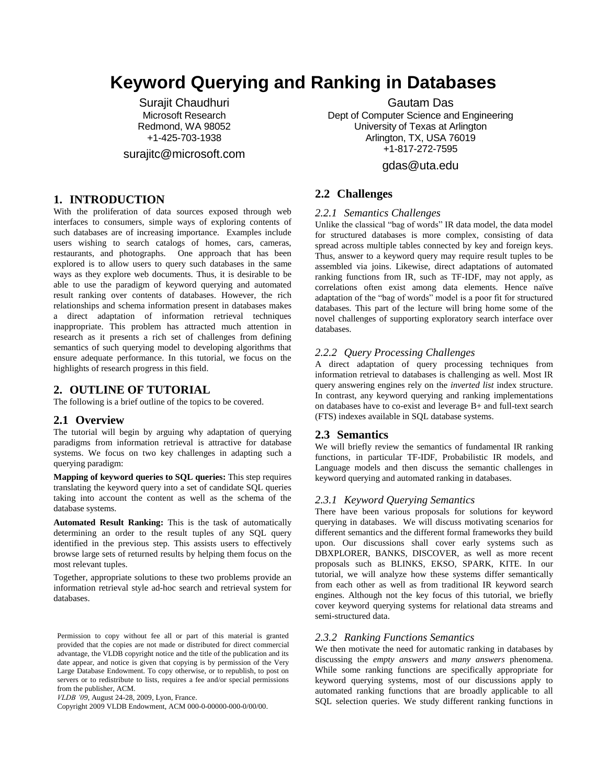# **Keyword Querying and Ranking in Databases**

Surajit Chaudhuri Microsoft Research Redmond, WA 98052 +1-425-703-1938

surajitc@microsoft.com

# **1. INTRODUCTION**

With the proliferation of data sources exposed through web interfaces to consumers, simple ways of exploring contents of such databases are of increasing importance. Examples include users wishing to search catalogs of homes, cars, cameras, restaurants, and photographs. One approach that has been explored is to allow users to query such databases in the same ways as they explore web documents. Thus, it is desirable to be able to use the paradigm of keyword querying and automated result ranking over contents of databases. However, the rich relationships and schema information present in databases makes a direct adaptation of information retrieval techniques inappropriate. This problem has attracted much attention in research as it presents a rich set of challenges from defining semantics of such querying model to developing algorithms that ensure adequate performance. In this tutorial, we focus on the highlights of research progress in this field.

### **2. OUTLINE OF TUTORIAL**

The following is a brief outline of the topics to be covered.

#### **2.1 Overview**

The tutorial will begin by arguing why adaptation of querying paradigms from information retrieval is attractive for database systems. We focus on two key challenges in adapting such a querying paradigm:

**Mapping of keyword queries to SQL queries:** This step requires translating the keyword query into a set of candidate SQL queries taking into account the content as well as the schema of the database systems.

**Automated Result Ranking:** This is the task of automatically determining an order to the result tuples of any SQL query identified in the previous step. This assists users to effectively browse large sets of returned results by helping them focus on the most relevant tuples.

Together, appropriate solutions to these two problems provide an information retrieval style ad-hoc search and retrieval system for databases.

*VLDB '09*, August 24-28, 2009, Lyon, France.

Copyright 2009 VLDB Endowment, ACM 000-0-00000-000-0/00/00.

Gautam Das

Dept of Computer Science and Engineering University of Texas at Arlington Arlington, TX, USA 76019 +1-817-272-7595

# gdas@uta.edu

# **2.2 Challenges**

## *2.2.1 Semantics Challenges*

Unlike the classical "bag of words" IR data model, the data model for structured databases is more complex, consisting of data spread across multiple tables connected by key and foreign keys. Thus, answer to a keyword query may require result tuples to be assembled via joins. Likewise, direct adaptations of automated ranking functions from IR, such as TF-IDF, may not apply, as correlations often exist among data elements. Hence naïve adaptation of the "bag of words" model is a poor fit for structured databases. This part of the lecture will bring home some of the novel challenges of supporting exploratory search interface over databases.

#### *2.2.2 Query Processing Challenges*

A direct adaptation of query processing techniques from information retrieval to databases is challenging as well. Most IR query answering engines rely on the *inverted list* index structure. In contrast, any keyword querying and ranking implementations on databases have to co-exist and leverage B+ and full-text search (FTS) indexes available in SQL database systems.

## **2.3 Semantics**

We will briefly review the semantics of fundamental IR ranking functions, in particular TF-IDF, Probabilistic IR models, and Language models and then discuss the semantic challenges in keyword querying and automated ranking in databases.

## *2.3.1 Keyword Querying Semantics*

There have been various proposals for solutions for keyword querying in databases. We will discuss motivating scenarios for different semantics and the different formal frameworks they build upon. Our discussions shall cover early systems such as DBXPLORER, BANKS, DISCOVER, as well as more recent proposals such as BLINKS, EKSO, SPARK, KITE. In our tutorial, we will analyze how these systems differ semantically from each other as well as from traditional IR keyword search engines. Although not the key focus of this tutorial, we briefly cover keyword querying systems for relational data streams and semi-structured data.

#### *2.3.2 Ranking Functions Semantics*

We then motivate the need for automatic ranking in databases by discussing the *empty answers* and *many answers* phenomena. While some ranking functions are specifically appropriate for keyword querying systems, most of our discussions apply to automated ranking functions that are broadly applicable to all SQL selection queries. We study different ranking functions in

Permission to copy without fee all or part of this material is granted provided that the copies are not made or distributed for direct commercial advantage, the VLDB copyright notice and the title of the publication and its date appear, and notice is given that copying is by permission of the Very Large Database Endowment. To copy otherwise, or to republish, to post on servers or to redistribute to lists, requires a fee and/or special permissions from the publisher, ACM.